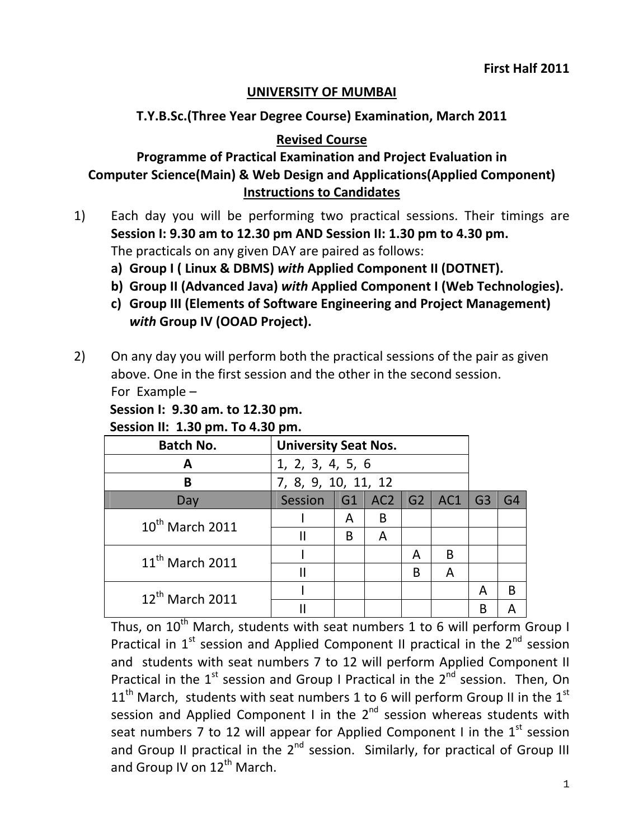## **UNIVERSITY OF MUMBAI**

## **T.Y.B.Sc.(Three Year Degree Course) Examination, March 2011**

## **Revised Course**

# **Programme of Practical Examination and Project Evaluation in Computer Science(Main) & Web Design and Applications(Applied Component) Instructions to Candidates**

- 1) Each day you will be performing two practical sessions. Their timings are **Session I: 9.30 am to 12.30 pm AND Session II: 1.30 pm to 4.30 pm.** The practicals on any given DAY are paired as follows:
	- **a) Group I ( Linux & DBMS)** *with* **Applied Component II (DOTNET).**
	- **b) Group II (Advanced Java)** *with* **Applied Component I (Web Technologies).**
	- **c) Group III (Elements of Software Engineering and Project Management)** *with* **Group IV (OOAD Project).**
- 2) On any day you will perform both the practical sessions of the pair as given above. One in the first session and the other in the second session. For Example –

# **Session I: 9.30 am. to 12.30 pm.**

**Session II: 1.30 pm. To 4.30 pm.**

| <b>Batch No.</b>     | <b>University Seat Nos.</b> |    |                 |    |     |                |                |
|----------------------|-----------------------------|----|-----------------|----|-----|----------------|----------------|
| A                    | 1, 2, 3, 4, 5, 6            |    |                 |    |     |                |                |
| B                    | 7, 8, 9, 10, 11, 12         |    |                 |    |     |                |                |
| Day                  | Session                     | G1 | AC <sub>2</sub> | G2 | AC1 | G <sub>3</sub> | G <sub>4</sub> |
| $10^{th}$ March 2011 |                             | A  | B               |    |     |                |                |
|                      |                             | B  | А               |    |     |                |                |
| $11^{th}$ March 2011 |                             |    |                 | A  | B   |                |                |
|                      |                             |    |                 | B  | A   |                |                |
| $12^{th}$ March 2011 |                             |    |                 |    |     | Α              | В              |
|                      |                             |    |                 |    |     | B              |                |

Thus, on  $10^{th}$  March, students with seat numbers 1 to 6 will perform Group I Practical in  $1<sup>st</sup>$  session and Applied Component II practical in the  $2<sup>nd</sup>$  session and students with seat numbers 7 to 12 will perform Applied Component II Practical in the  $1<sup>st</sup>$  session and Group I Practical in the  $2<sup>nd</sup>$  session. Then, On  $11<sup>th</sup>$  March, students with seat numbers 1 to 6 will perform Group II in the  $1<sup>st</sup>$ session and Applied Component I in the  $2<sup>nd</sup>$  session whereas students with seat numbers 7 to 12 will appear for Applied Component I in the  $1<sup>st</sup>$  session and Group II practical in the  $2<sup>nd</sup>$  session. Similarly, for practical of Group III and Group IV on  $12^{th}$  March.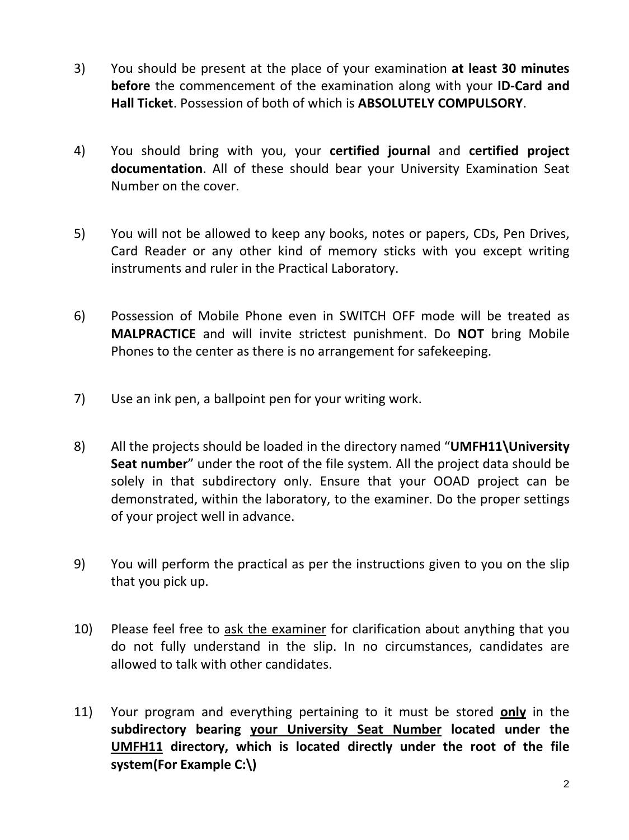- 3) You should be present at the place of your examination **at least 30 minutes before** the commencement of the examination along with your **ID‐Card and Hall Ticket**. Possession of both of which is **ABSOLUTELY COMPULSORY**.
- 4) You should bring with you, your **certified journal** and **certified project documentation**. All of these should bear your University Examination Seat Number on the cover.
- 5) You will not be allowed to keep any books, notes or papers, CDs, Pen Drives, Card Reader or any other kind of memory sticks with you except writing instruments and ruler in the Practical Laboratory.
- 6) Possession of Mobile Phone even in SWITCH OFF mode will be treated as **MALPRACTICE** and will invite strictest punishment. Do **NOT** bring Mobile Phones to the center as there is no arrangement for safekeeping.
- 7) Use an ink pen, a ballpoint pen for your writing work.
- 8) All the projects should be loaded in the directory named "**UMFH11\University Seat number**" under the root of the file system. All the project data should be solely in that subdirectory only. Ensure that your OOAD project can be demonstrated, within the laboratory, to the examiner. Do the proper settings of your project well in advance.
- 9) You will perform the practical as per the instructions given to you on the slip that you pick up.
- 10) Please feel free to ask the examiner for clarification about anything that you do not fully understand in the slip. In no circumstances, candidates are allowed to talk with other candidates.
- 11) Your program and everything pertaining to it must be stored **only** in the **subdirectory bearing your University Seat Number located under the UMFH11 directory, which is located directly under the root of the file system(For Example C:\)**